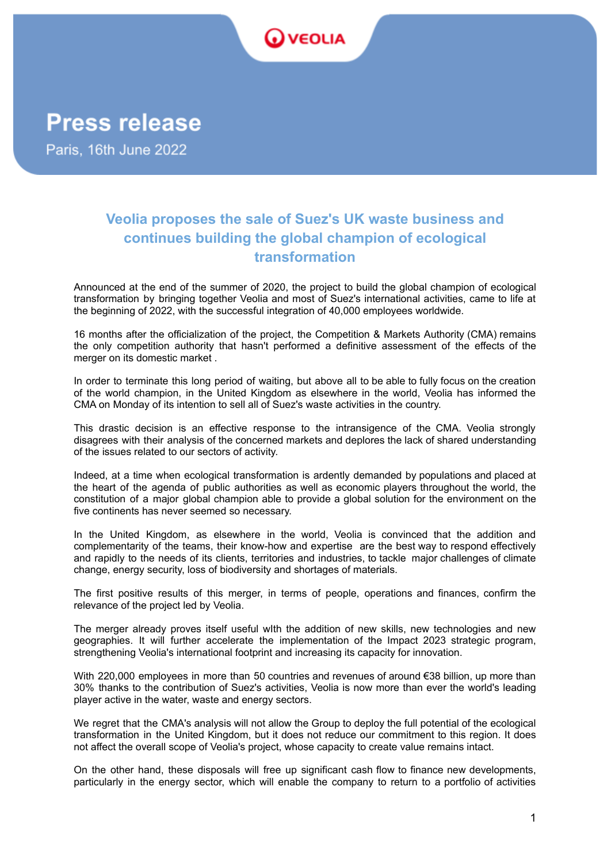

**Press release** 

Paris, 16th June 2022

# **Veolia proposes the sale of Suez's UK waste business and continues building the global champion of ecological transformation**

Announced at the end of the summer of 2020, the project to build the global champion of ecological transformation by bringing together Veolia and most of Suez's international activities, came to life at the beginning of 2022, with the successful integration of 40,000 employees worldwide.

16 months after the officialization of the project, the Competition & Markets Authority (CMA) remains the only competition authority that hasn't performed a definitive assessment of the effects of the merger on its domestic market .

In order to terminate this long period of waiting, but above all to be able to fully focus on the creation of the world champion, in the United Kingdom as elsewhere in the world, Veolia has informed the CMA on Monday of its intention to sell all of Suez's waste activities in the country.

This drastic decision is an effective response to the intransigence of the CMA. Veolia strongly disagrees with their analysis of the concerned markets and deplores the lack of shared understanding of the issues related to our sectors of activity.

Indeed, at a time when ecological transformation is ardently demanded by populations and placed at the heart of the agenda of public authorities as well as economic players throughout the world, the constitution of a major global champion able to provide a global solution for the environment on the five continents has never seemed so necessary.

In the United Kingdom, as elsewhere in the world, Veolia is convinced that the addition and complementarity of the teams, their know-how and expertise are the best way to respond effectively and rapidly to the needs of its clients, territories and industries, to tackle major challenges of climate change, energy security, loss of biodiversity and shortages of materials.

The first positive results of this merger, in terms of people, operations and finances, confirm the relevance of the project led by Veolia.

The merger already proves itself useful with the addition of new skills, new technologies and new geographies. It will further accelerate the implementation of the Impact 2023 strategic program, strengthening Veolia's international footprint and increasing its capacity for innovation.

With 220,000 employees in more than 50 countries and revenues of around €38 billion, up more than 30% thanks to the contribution of Suez's activities, Veolia is now more than ever the world's leading player active in the water, waste and energy sectors.

We regret that the CMA's analysis will not allow the Group to deploy the full potential of the ecological transformation in the United Kingdom, but it does not reduce our commitment to this region. It does not affect the overall scope of Veolia's project, whose capacity to create value remains intact.

On the other hand, these disposals will free up significant cash flow to finance new developments, particularly in the energy sector, which will enable the company to return to a portfolio of activities